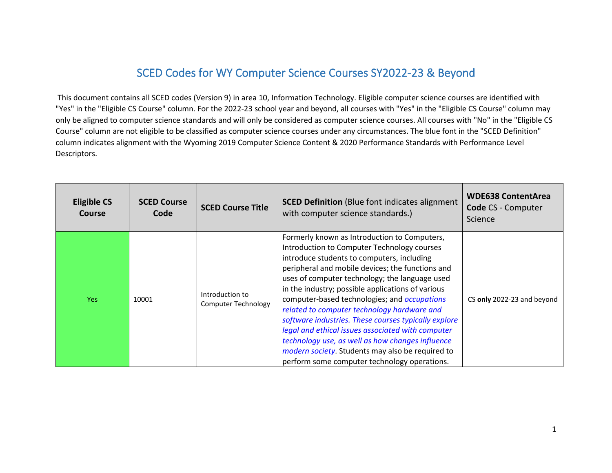## SCED Codes for WY Computer Science Courses SY2022-23 & Beyond

 This document contains all SCED codes (Version 9) in area 10, Information Technology. Eligible computer science courses are identified with "Yes" in the "Eligible CS Course" column. For the 2022-23 school year and beyond, all courses with "Yes" in the "Eligible CS Course" column may column indicates alignment with the Wyoming 2019 Computer Science Content & 2020 Performance Standards with Performance Level only be aligned to computer science standards and will only be considered as computer science courses. All courses with "No" in the "Eligible CS Course" column are not eligible to be classified as computer science courses under any circumstances. The blue font in the "SCED Definition" Descriptors.

| <b>Eligible CS</b><br>Course | <b>SCED Course</b><br>Code | <b>SCED Course Title</b>                      | <b>SCED Definition</b> (Blue font indicates alignment<br>with computer science standards.)                                                                                                                                                                                                                                                                                                                                                                                                                                                                                                                                                                                       | <b>WDE638 ContentArea</b><br><b>Code CS - Computer</b><br>Science |
|------------------------------|----------------------------|-----------------------------------------------|----------------------------------------------------------------------------------------------------------------------------------------------------------------------------------------------------------------------------------------------------------------------------------------------------------------------------------------------------------------------------------------------------------------------------------------------------------------------------------------------------------------------------------------------------------------------------------------------------------------------------------------------------------------------------------|-------------------------------------------------------------------|
| Yes:                         | 10001                      | Introduction to<br><b>Computer Technology</b> | Formerly known as Introduction to Computers,<br>Introduction to Computer Technology courses<br>introduce students to computers, including<br>peripheral and mobile devices; the functions and<br>uses of computer technology; the language used<br>in the industry; possible applications of various<br>computer-based technologies; and occupations<br>related to computer technology hardware and<br>software industries. These courses typically explore<br>legal and ethical issues associated with computer<br>technology use, as well as how changes influence<br><i>modern society</i> . Students may also be required to<br>perform some computer technology operations. | CS only 2022-23 and beyond                                        |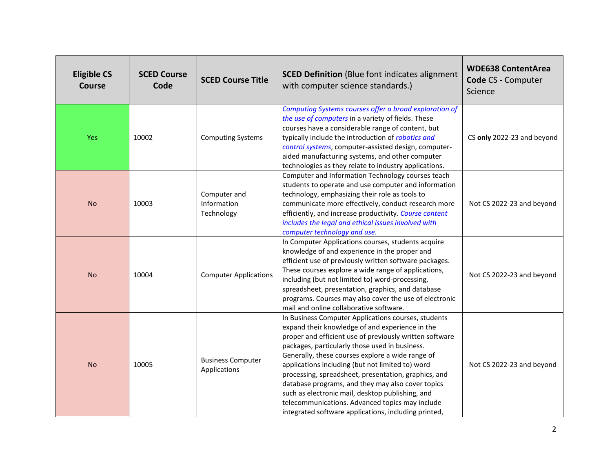| <b>Eligible CS</b><br><b>Course</b> | <b>SCED Course</b><br>Code | <b>SCED Course Title</b>                  | <b>SCED Definition</b> (Blue font indicates alignment<br>with computer science standards.)                                                                                                                                                                                                                                                                                                                                                                                                                                                                                                              | <b>WDE638 ContentArea</b><br>Code CS - Computer<br>Science |
|-------------------------------------|----------------------------|-------------------------------------------|---------------------------------------------------------------------------------------------------------------------------------------------------------------------------------------------------------------------------------------------------------------------------------------------------------------------------------------------------------------------------------------------------------------------------------------------------------------------------------------------------------------------------------------------------------------------------------------------------------|------------------------------------------------------------|
| Yes                                 | 10002                      | <b>Computing Systems</b>                  | Computing Systems courses offer a broad exploration of<br>the use of computers in a variety of fields. These<br>courses have a considerable range of content, but<br>typically include the introduction of robotics and<br>control systems, computer-assisted design, computer-<br>aided manufacturing systems, and other computer<br>technologies as they relate to industry applications.                                                                                                                                                                                                             | CS only 2022-23 and beyond                                 |
| <b>No</b>                           | 10003                      | Computer and<br>Information<br>Technology | Computer and Information Technology courses teach<br>students to operate and use computer and information<br>technology, emphasizing their role as tools to<br>communicate more effectively, conduct research more<br>efficiently, and increase productivity. Course content<br>includes the legal and ethical issues involved with<br>computer technology and use.                                                                                                                                                                                                                                     | Not CS 2022-23 and beyond                                  |
| <b>No</b>                           | 10004                      | <b>Computer Applications</b>              | In Computer Applications courses, students acquire<br>knowledge of and experience in the proper and<br>efficient use of previously written software packages.<br>These courses explore a wide range of applications,<br>including (but not limited to) word-processing,<br>spreadsheet, presentation, graphics, and database<br>programs. Courses may also cover the use of electronic<br>mail and online collaborative software.                                                                                                                                                                       | Not CS 2022-23 and beyond                                  |
| <b>No</b>                           | 10005                      | <b>Business Computer</b><br>Applications  | In Business Computer Applications courses, students<br>expand their knowledge of and experience in the<br>proper and efficient use of previously written software<br>packages, particularly those used in business.<br>Generally, these courses explore a wide range of<br>applications including (but not limited to) word<br>processing, spreadsheet, presentation, graphics, and<br>database programs, and they may also cover topics<br>such as electronic mail, desktop publishing, and<br>telecommunications. Advanced topics may include<br>integrated software applications, including printed, | Not CS 2022-23 and beyond                                  |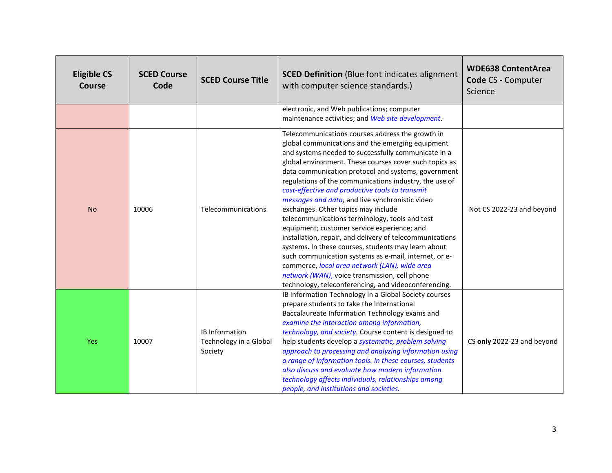| <b>Eligible CS</b><br>Course | <b>SCED Course</b><br>Code | <b>SCED Course Title</b>                                   | <b>SCED Definition</b> (Blue font indicates alignment<br>with computer science standards.)                                                                                                                                                                                                                                                                                                                                                                                                                                                                                                                                                                                                                                                                                                                                                                                                                                 | <b>WDE638 ContentArea</b><br>Code CS - Computer<br>Science |
|------------------------------|----------------------------|------------------------------------------------------------|----------------------------------------------------------------------------------------------------------------------------------------------------------------------------------------------------------------------------------------------------------------------------------------------------------------------------------------------------------------------------------------------------------------------------------------------------------------------------------------------------------------------------------------------------------------------------------------------------------------------------------------------------------------------------------------------------------------------------------------------------------------------------------------------------------------------------------------------------------------------------------------------------------------------------|------------------------------------------------------------|
|                              |                            |                                                            | electronic, and Web publications; computer<br>maintenance activities; and Web site development.                                                                                                                                                                                                                                                                                                                                                                                                                                                                                                                                                                                                                                                                                                                                                                                                                            |                                                            |
| <b>No</b>                    | 10006                      | Telecommunications                                         | Telecommunications courses address the growth in<br>global communications and the emerging equipment<br>and systems needed to successfully communicate in a<br>global environment. These courses cover such topics as<br>data communication protocol and systems, government<br>regulations of the communications industry, the use of<br>cost-effective and productive tools to transmit<br>messages and data, and live synchronistic video<br>exchanges. Other topics may include<br>telecommunications terminology, tools and test<br>equipment; customer service experience; and<br>installation, repair, and delivery of telecommunications<br>systems. In these courses, students may learn about<br>such communication systems as e-mail, internet, or e-<br>commerce, local area network (LAN), wide area<br>network (WAN), voice transmission, cell phone<br>technology, teleconferencing, and videoconferencing. | Not CS 2022-23 and beyond                                  |
| <b>Yes</b>                   | 10007                      | <b>IB Information</b><br>Technology in a Global<br>Society | IB Information Technology in a Global Society courses<br>prepare students to take the International<br>Baccalaureate Information Technology exams and<br>examine the interaction among information,<br>technology, and society. Course content is designed to<br>help students develop a systematic, problem solving<br>approach to processing and analyzing information using<br>a range of information tools. In these courses, students<br>also discuss and evaluate how modern information<br>technology affects individuals, relationships among<br>people, and institutions and societies.                                                                                                                                                                                                                                                                                                                           | CS only 2022-23 and beyond                                 |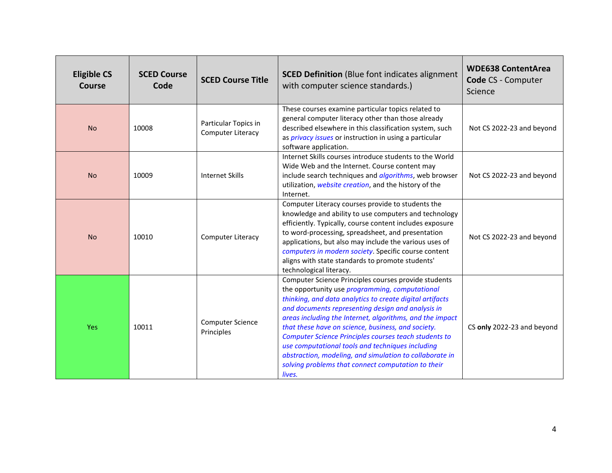| <b>Eligible CS</b><br><b>Course</b> | <b>SCED Course</b><br>Code | <b>SCED Course Title</b>                  | <b>SCED Definition</b> (Blue font indicates alignment<br>with computer science standards.)                                                                                                                                                                                                                                                                                                                                                                                                                                                                                                | <b>WDE638 ContentArea</b><br>Code CS - Computer<br>Science |
|-------------------------------------|----------------------------|-------------------------------------------|-------------------------------------------------------------------------------------------------------------------------------------------------------------------------------------------------------------------------------------------------------------------------------------------------------------------------------------------------------------------------------------------------------------------------------------------------------------------------------------------------------------------------------------------------------------------------------------------|------------------------------------------------------------|
| <b>No</b>                           | 10008                      | Particular Topics in<br>Computer Literacy | These courses examine particular topics related to<br>general computer literacy other than those already<br>described elsewhere in this classification system, such<br>as <i>privacy issues</i> or instruction in using a particular<br>software application.                                                                                                                                                                                                                                                                                                                             | Not CS 2022-23 and beyond                                  |
| <b>No</b>                           | 10009                      | <b>Internet Skills</b>                    | Internet Skills courses introduce students to the World<br>Wide Web and the Internet. Course content may<br>include search techniques and <i>algorithms</i> , web browser<br>utilization, website creation, and the history of the<br>Internet.                                                                                                                                                                                                                                                                                                                                           | Not CS 2022-23 and beyond                                  |
| <b>No</b>                           | 10010                      | Computer Literacy                         | Computer Literacy courses provide to students the<br>knowledge and ability to use computers and technology<br>efficiently. Typically, course content includes exposure<br>to word-processing, spreadsheet, and presentation<br>applications, but also may include the various uses of<br>computers in modern society. Specific course content<br>aligns with state standards to promote students'<br>technological literacy.                                                                                                                                                              | Not CS 2022-23 and beyond                                  |
| <b>Yes</b>                          | 10011                      | <b>Computer Science</b><br>Principles     | Computer Science Principles courses provide students<br>the opportunity use <i>programming</i> , computational<br>thinking, and data analytics to create digital artifacts<br>and documents representing design and analysis in<br>areas including the Internet, algorithms, and the impact<br>that these have on science, business, and society.<br>Computer Science Principles courses teach students to<br>use computational tools and techniques including<br>abstraction, modeling, and simulation to collaborate in<br>solving problems that connect computation to their<br>lives. | CS only 2022-23 and beyond                                 |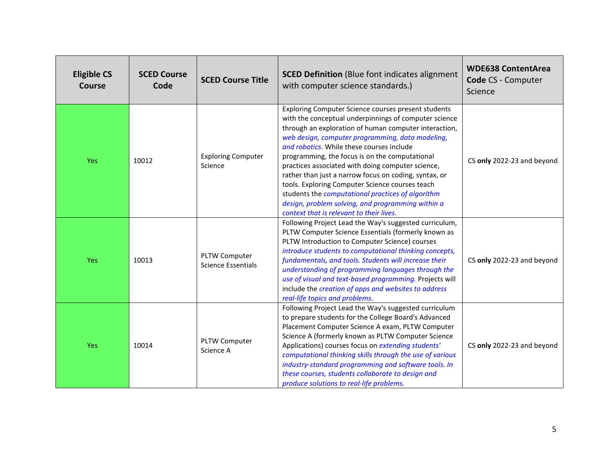| <b>Eligible CS</b><br><b>Course</b> | <b>SCED Course</b><br>Code | <b>SCED Course Title</b>             | <b>SCED Definition</b> (Blue font indicates alignment<br>with computer science standards.)                                                                                                                                                                                                                                                                                                                                                                                                                                                                                                                                                      | <b>WDE638 ContentArea</b><br>Code CS - Computer<br>Science |
|-------------------------------------|----------------------------|--------------------------------------|-------------------------------------------------------------------------------------------------------------------------------------------------------------------------------------------------------------------------------------------------------------------------------------------------------------------------------------------------------------------------------------------------------------------------------------------------------------------------------------------------------------------------------------------------------------------------------------------------------------------------------------------------|------------------------------------------------------------|
| Yes                                 | 10012                      | <b>Exploring Computer</b><br>Science | Exploring Computer Science courses present students<br>with the conceptual underpinnings of computer science<br>through an exploration of human computer interaction,<br>web design, computer programming, data modeling,<br>and robotics. While these courses include<br>programming, the focus is on the computational<br>practices associated with doing computer science,<br>rather than just a narrow focus on coding, syntax, or<br>tools. Exploring Computer Science courses teach<br>students the computational practices of algorithm<br>design, problem solving, and programming within a<br>context that is relevant to their lives. | CS only 2022-23 and beyond                                 |
| Yes                                 | 10013                      | PLTW Computer<br>Science Essentials  | Following Project Lead the Way's suggested curriculum,<br>PLTW Computer Science Essentials (formerly known as<br>PLTW Introduction to Computer Science) courses<br>introduce students to computational thinking concepts,<br>fundamentals, and tools. Students will increase their<br>understanding of programming languages through the<br>use of visual and text-based programming. Projects will<br>include the creation of apps and websites to address<br>real-life topics and problems.                                                                                                                                                   | CS only 2022-23 and beyond                                 |
| Yes                                 | 10014                      | PLTW Computer<br>Science A           | Following Project Lead the Way's suggested curriculum<br>to prepare students for the College Board's Advanced<br>Placement Computer Science A exam, PLTW Computer<br>Science A (formerly known as PLTW Computer Science<br>Applications) courses focus on extending students'<br>computational thinking skills through the use of various<br>industry-standard programming and software tools. In<br>these courses, students collaborate to design and<br>produce solutions to real-life problems.                                                                                                                                              | CS only 2022-23 and beyond                                 |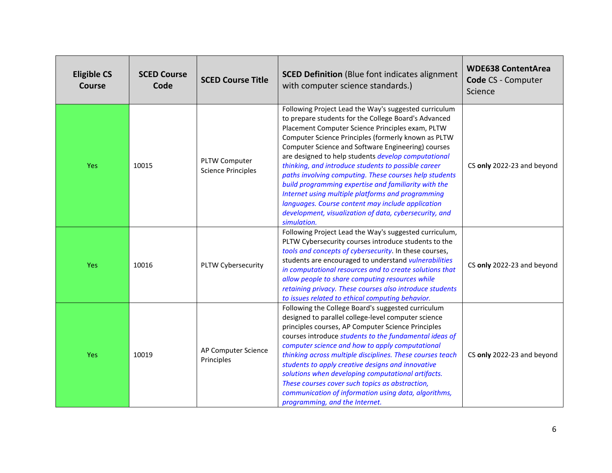| <b>Eligible CS</b><br><b>Course</b> | <b>SCED Course</b><br>Code | <b>SCED Course Title</b>                   | <b>SCED Definition</b> (Blue font indicates alignment<br>with computer science standards.)                                                                                                                                                                                                                                                                                                                                                                                                                                                                                                                                                                                                        | <b>WDE638 ContentArea</b><br><b>Code CS - Computer</b><br>Science |
|-------------------------------------|----------------------------|--------------------------------------------|---------------------------------------------------------------------------------------------------------------------------------------------------------------------------------------------------------------------------------------------------------------------------------------------------------------------------------------------------------------------------------------------------------------------------------------------------------------------------------------------------------------------------------------------------------------------------------------------------------------------------------------------------------------------------------------------------|-------------------------------------------------------------------|
| Yes                                 | 10015                      | PLTW Computer<br><b>Science Principles</b> | Following Project Lead the Way's suggested curriculum<br>to prepare students for the College Board's Advanced<br>Placement Computer Science Principles exam, PLTW<br>Computer Science Principles (formerly known as PLTW<br>Computer Science and Software Engineering) courses<br>are designed to help students develop computational<br>thinking, and introduce students to possible career<br>paths involving computing. These courses help students<br>build programming expertise and familiarity with the<br>Internet using multiple platforms and programming<br>languages. Course content may include application<br>development, visualization of data, cybersecurity, and<br>simulation. | CS only 2022-23 and beyond                                        |
| Yes                                 | 10016                      | PLTW Cybersecurity                         | Following Project Lead the Way's suggested curriculum,<br>PLTW Cybersecurity courses introduce students to the<br>tools and concepts of cybersecurity. In these courses,<br>students are encouraged to understand vulnerabilities<br>in computational resources and to create solutions that<br>allow people to share computing resources while<br>retaining privacy. These courses also introduce students<br>to issues related to ethical computing behavior.                                                                                                                                                                                                                                   | CS only 2022-23 and beyond                                        |
| <b>Yes</b>                          | 10019                      | AP Computer Science<br>Principles          | Following the College Board's suggested curriculum<br>designed to parallel college-level computer science<br>principles courses, AP Computer Science Principles<br>courses introduce students to the fundamental ideas of<br>computer science and how to apply computational<br>thinking across multiple disciplines. These courses teach<br>students to apply creative designs and innovative<br>solutions when developing computational artifacts.<br>These courses cover such topics as abstraction,<br>communication of information using data, algorithms,<br>programming, and the Internet.                                                                                                 | CS only 2022-23 and beyond                                        |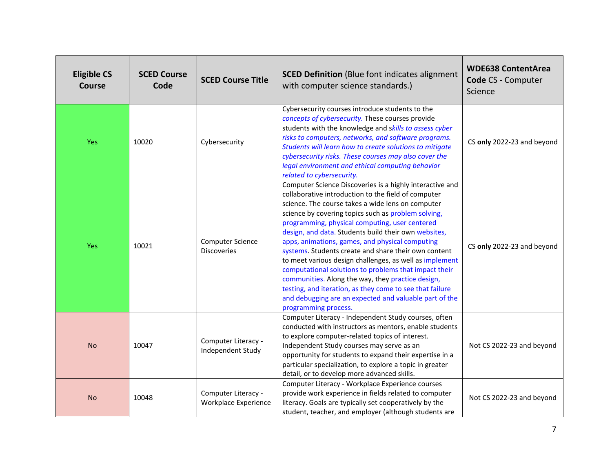| <b>Eligible CS</b><br><b>Course</b> | <b>SCED Course</b><br>Code | <b>SCED Course Title</b>                           | <b>SCED Definition</b> (Blue font indicates alignment<br>with computer science standards.)                                                                                                                                                                                                                                                                                                                                                                                                                                                                                                                                                                                                                                                                              | <b>WDE638 ContentArea</b><br>Code CS - Computer<br>Science |
|-------------------------------------|----------------------------|----------------------------------------------------|-------------------------------------------------------------------------------------------------------------------------------------------------------------------------------------------------------------------------------------------------------------------------------------------------------------------------------------------------------------------------------------------------------------------------------------------------------------------------------------------------------------------------------------------------------------------------------------------------------------------------------------------------------------------------------------------------------------------------------------------------------------------------|------------------------------------------------------------|
| Yes                                 | 10020                      | Cybersecurity                                      | Cybersecurity courses introduce students to the<br>concepts of cybersecurity. These courses provide<br>students with the knowledge and skills to assess cyber<br>risks to computers, networks, and software programs.<br>Students will learn how to create solutions to mitigate<br>cybersecurity risks. These courses may also cover the<br>legal environment and ethical computing behavior<br>related to cybersecurity.                                                                                                                                                                                                                                                                                                                                              | CS only 2022-23 and beyond                                 |
| Yes                                 | 10021                      | Computer Science<br><b>Discoveries</b>             | Computer Science Discoveries is a highly interactive and<br>collaborative introduction to the field of computer<br>science. The course takes a wide lens on computer<br>science by covering topics such as problem solving,<br>programming, physical computing, user centered<br>design, and data. Students build their own websites,<br>apps, animations, games, and physical computing<br>systems. Students create and share their own content<br>to meet various design challenges, as well as implement<br>computational solutions to problems that impact their<br>communities. Along the way, they practice design,<br>testing, and iteration, as they come to see that failure<br>and debugging are an expected and valuable part of the<br>programming process. | CS only 2022-23 and beyond                                 |
| <b>No</b>                           | 10047                      | Computer Literacy -<br>Independent Study           | Computer Literacy - Independent Study courses, often<br>conducted with instructors as mentors, enable students<br>to explore computer-related topics of interest.<br>Independent Study courses may serve as an<br>opportunity for students to expand their expertise in a<br>particular specialization, to explore a topic in greater<br>detail, or to develop more advanced skills.                                                                                                                                                                                                                                                                                                                                                                                    | Not CS 2022-23 and beyond                                  |
| <b>No</b>                           | 10048                      | Computer Literacy -<br><b>Workplace Experience</b> | Computer Literacy - Workplace Experience courses<br>provide work experience in fields related to computer<br>literacy. Goals are typically set cooperatively by the<br>student, teacher, and employer (although students are                                                                                                                                                                                                                                                                                                                                                                                                                                                                                                                                            | Not CS 2022-23 and beyond                                  |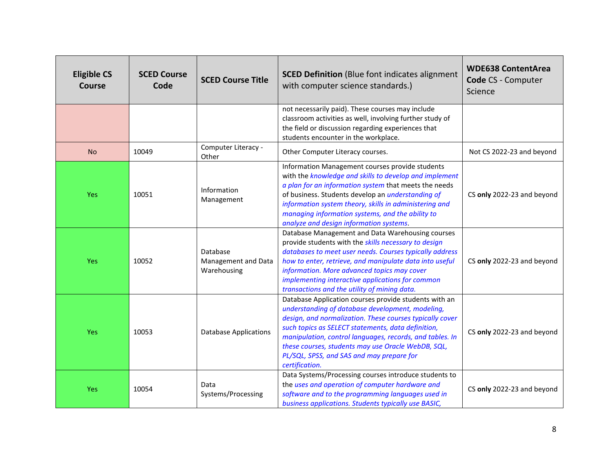| <b>Eligible CS</b><br><b>Course</b> | <b>SCED Course</b><br>Code | <b>SCED Course Title</b>                       | <b>SCED Definition</b> (Blue font indicates alignment<br>with computer science standards.)                                                                                                                                                                                                                                                                                                                   | <b>WDE638 ContentArea</b><br>Code CS - Computer<br>Science |
|-------------------------------------|----------------------------|------------------------------------------------|--------------------------------------------------------------------------------------------------------------------------------------------------------------------------------------------------------------------------------------------------------------------------------------------------------------------------------------------------------------------------------------------------------------|------------------------------------------------------------|
|                                     |                            |                                                | not necessarily paid). These courses may include<br>classroom activities as well, involving further study of<br>the field or discussion regarding experiences that<br>students encounter in the workplace.                                                                                                                                                                                                   |                                                            |
| <b>No</b>                           | 10049                      | Computer Literacy -<br>Other                   | Other Computer Literacy courses.                                                                                                                                                                                                                                                                                                                                                                             | Not CS 2022-23 and beyond                                  |
| Yes                                 | 10051                      | Information<br>Management                      | Information Management courses provide students<br>with the knowledge and skills to develop and implement<br>a plan for an information system that meets the needs<br>of business. Students develop an <i>understanding of</i><br>information system theory, skills in administering and<br>managing information systems, and the ability to<br>analyze and design information systems.                      | CS only 2022-23 and beyond                                 |
| Yes                                 | 10052                      | Database<br>Management and Data<br>Warehousing | Database Management and Data Warehousing courses<br>provide students with the skills necessary to design<br>databases to meet user needs. Courses typically address<br>how to enter, retrieve, and manipulate data into useful<br>information. More advanced topics may cover<br>implementing interactive applications for common<br>transactions and the utility of mining data.                            | CS only 2022-23 and beyond                                 |
| Yes                                 | 10053                      | <b>Database Applications</b>                   | Database Application courses provide students with an<br>understanding of database development, modeling,<br>design, and normalization. These courses typically cover<br>such topics as SELECT statements, data definition,<br>manipulation, control languages, records, and tables. In<br>these courses, students may use Oracle WebDB, SQL,<br>PL/SQL, SPSS, and SAS and may prepare for<br>certification. | CS only 2022-23 and beyond                                 |
| Yes                                 | 10054                      | Data<br>Systems/Processing                     | Data Systems/Processing courses introduce students to<br>the uses and operation of computer hardware and<br>software and to the programming languages used in<br>business applications. Students typically use BASIC,                                                                                                                                                                                        | CS only 2022-23 and beyond                                 |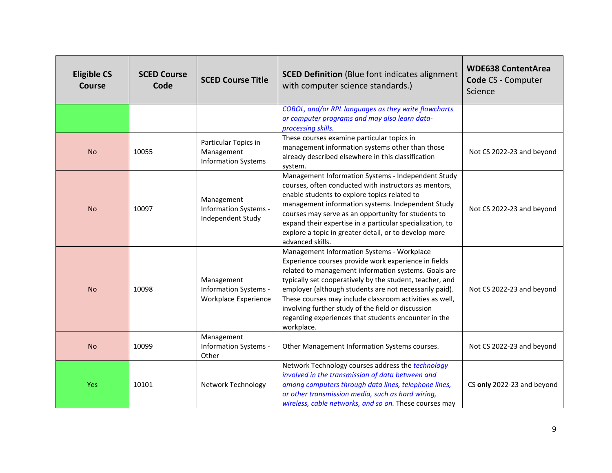| <b>Eligible CS</b><br>Course | <b>SCED Course</b><br>Code | <b>SCED Course Title</b>                                           | <b>SCED Definition</b> (Blue font indicates alignment<br>with computer science standards.)                                                                                                                                                                                                                                                                                                                                                                              | <b>WDE638 ContentArea</b><br>Code CS - Computer<br>Science |
|------------------------------|----------------------------|--------------------------------------------------------------------|-------------------------------------------------------------------------------------------------------------------------------------------------------------------------------------------------------------------------------------------------------------------------------------------------------------------------------------------------------------------------------------------------------------------------------------------------------------------------|------------------------------------------------------------|
|                              |                            |                                                                    | COBOL, and/or RPL languages as they write flowcharts<br>or computer programs and may also learn data-<br>processing skills.                                                                                                                                                                                                                                                                                                                                             |                                                            |
| <b>No</b>                    | 10055                      | Particular Topics in<br>Management<br><b>Information Systems</b>   | These courses examine particular topics in<br>management information systems other than those<br>already described elsewhere in this classification<br>system.                                                                                                                                                                                                                                                                                                          | Not CS 2022-23 and beyond                                  |
| <b>No</b>                    | 10097                      | Management<br>Information Systems -<br>Independent Study           | Management Information Systems - Independent Study<br>courses, often conducted with instructors as mentors,<br>enable students to explore topics related to<br>management information systems. Independent Study<br>courses may serve as an opportunity for students to<br>expand their expertise in a particular specialization, to<br>explore a topic in greater detail, or to develop more<br>advanced skills.                                                       | Not CS 2022-23 and beyond                                  |
| <b>No</b>                    | 10098                      | Management<br>Information Systems -<br><b>Workplace Experience</b> | Management Information Systems - Workplace<br>Experience courses provide work experience in fields<br>related to management information systems. Goals are<br>typically set cooperatively by the student, teacher, and<br>employer (although students are not necessarily paid).<br>These courses may include classroom activities as well,<br>involving further study of the field or discussion<br>regarding experiences that students encounter in the<br>workplace. | Not CS 2022-23 and beyond                                  |
| <b>No</b>                    | 10099                      | Management<br>Information Systems -<br>Other                       | Other Management Information Systems courses.                                                                                                                                                                                                                                                                                                                                                                                                                           | Not CS 2022-23 and beyond                                  |
| <b>Yes</b>                   | 10101                      | <b>Network Technology</b>                                          | Network Technology courses address the technology<br>involved in the transmission of data between and<br>among computers through data lines, telephone lines,<br>or other transmission media, such as hard wiring,<br>wireless, cable networks, and so on. These courses may                                                                                                                                                                                            | CS only 2022-23 and beyond                                 |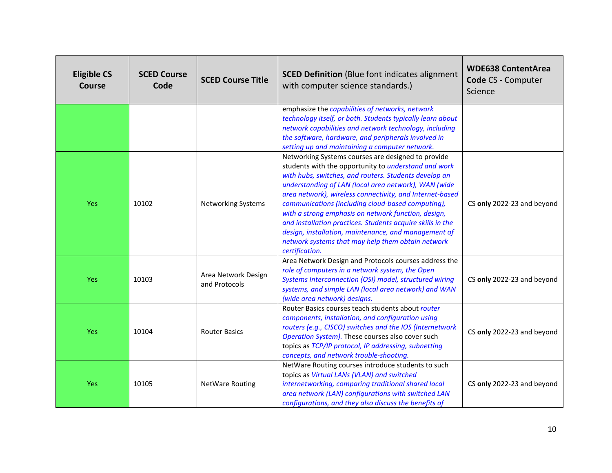| <b>Eligible CS</b><br>Course | <b>SCED Course</b><br>Code | <b>SCED Course Title</b>             | <b>SCED Definition</b> (Blue font indicates alignment<br>with computer science standards.)                                                                                                                                                                                                                                                                                                                                                                                                                                                                                                              | <b>WDE638 ContentArea</b><br>Code CS - Computer<br>Science |
|------------------------------|----------------------------|--------------------------------------|---------------------------------------------------------------------------------------------------------------------------------------------------------------------------------------------------------------------------------------------------------------------------------------------------------------------------------------------------------------------------------------------------------------------------------------------------------------------------------------------------------------------------------------------------------------------------------------------------------|------------------------------------------------------------|
|                              |                            |                                      | emphasize the capabilities of networks, network<br>technology itself, or both. Students typically learn about<br>network capabilities and network technology, including<br>the software, hardware, and peripherals involved in<br>setting up and maintaining a computer network.                                                                                                                                                                                                                                                                                                                        |                                                            |
| <b>Yes</b>                   | 10102                      | <b>Networking Systems</b>            | Networking Systems courses are designed to provide<br>students with the opportunity to <i>understand and work</i><br>with hubs, switches, and routers. Students develop an<br>understanding of LAN (local area network), WAN (wide<br>area network), wireless connectivity, and Internet-based<br>communications (including cloud-based computing),<br>with a strong emphasis on network function, design,<br>and installation practices. Students acquire skills in the<br>design, installation, maintenance, and management of<br>network systems that may help them obtain network<br>certification. | CS only 2022-23 and beyond                                 |
| <b>Yes</b>                   | 10103                      | Area Network Design<br>and Protocols | Area Network Design and Protocols courses address the<br>role of computers in a network system, the Open<br>Systems Interconnection (OSI) model, structured wiring<br>systems, and simple LAN (local area network) and WAN<br>(wide area network) designs.                                                                                                                                                                                                                                                                                                                                              | CS only 2022-23 and beyond                                 |
| Yes                          | 10104                      | <b>Router Basics</b>                 | Router Basics courses teach students about router<br>components, installation, and configuration using<br>routers (e.g., CISCO) switches and the IOS (Internetwork<br>Operation System). These courses also cover such<br>topics as TCP/IP protocol, IP addressing, subnetting<br>concepts, and network trouble-shooting.                                                                                                                                                                                                                                                                               | CS only 2022-23 and beyond                                 |
| <b>Yes</b>                   | 10105                      | <b>NetWare Routing</b>               | NetWare Routing courses introduce students to such<br>topics as Virtual LANs (VLAN) and switched<br>internetworking, comparing traditional shared local<br>area network (LAN) configurations with switched LAN<br>configurations, and they also discuss the benefits of                                                                                                                                                                                                                                                                                                                                 | CS only 2022-23 and beyond                                 |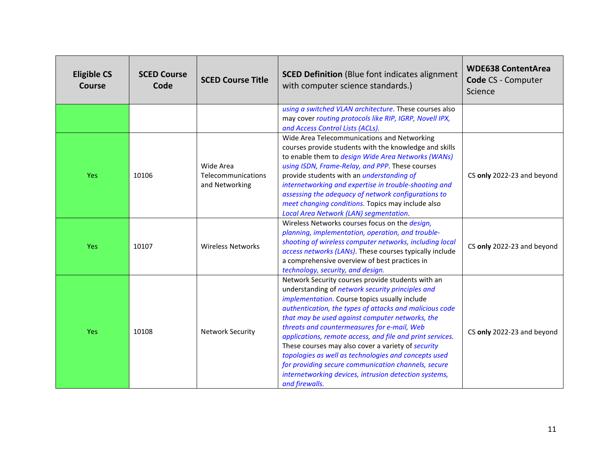| <b>Eligible CS</b><br><b>Course</b> | <b>SCED Course</b><br>Code | <b>SCED Course Title</b>                          | <b>SCED Definition</b> (Blue font indicates alignment<br>with computer science standards.)                                                                                                                                                                                                                                                                                                                                                                                                                                                                                                                                       | <b>WDE638 ContentArea</b><br>Code CS - Computer<br>Science |
|-------------------------------------|----------------------------|---------------------------------------------------|----------------------------------------------------------------------------------------------------------------------------------------------------------------------------------------------------------------------------------------------------------------------------------------------------------------------------------------------------------------------------------------------------------------------------------------------------------------------------------------------------------------------------------------------------------------------------------------------------------------------------------|------------------------------------------------------------|
|                                     |                            |                                                   | using a switched VLAN architecture. These courses also<br>may cover routing protocols like RIP, IGRP, Novell IPX,<br>and Access Control Lists (ACLs).                                                                                                                                                                                                                                                                                                                                                                                                                                                                            |                                                            |
| <b>Yes</b>                          | 10106                      | Wide Area<br>Telecommunications<br>and Networking | Wide Area Telecommunications and Networking<br>courses provide students with the knowledge and skills<br>to enable them to design Wide Area Networks (WANs)<br>using ISDN, Frame-Relay, and PPP. These courses<br>provide students with an <i>understanding of</i><br>internetworking and expertise in trouble-shooting and<br>assessing the adequacy of network configurations to<br>meet changing conditions. Topics may include also<br>Local Area Network (LAN) segmentation.                                                                                                                                                | CS only 2022-23 and beyond                                 |
| <b>Yes</b>                          | 10107                      | <b>Wireless Networks</b>                          | Wireless Networks courses focus on the design,<br>planning, implementation, operation, and trouble-<br>shooting of wireless computer networks, including local<br>access networks (LANs). These courses typically include<br>a comprehensive overview of best practices in<br>technology, security, and design.                                                                                                                                                                                                                                                                                                                  | CS only 2022-23 and beyond                                 |
| <b>Yes</b>                          | 10108                      | <b>Network Security</b>                           | Network Security courses provide students with an<br>understanding of network security principles and<br>implementation. Course topics usually include<br>authentication, the types of attacks and malicious code<br>that may be used against computer networks, the<br>threats and countermeasures for e-mail, Web<br>applications, remote access, and file and print services.<br>These courses may also cover a variety of security<br>topologies as well as technologies and concepts used<br>for providing secure communication channels, secure<br>internetworking devices, intrusion detection systems,<br>and firewalls. | CS only 2022-23 and beyond                                 |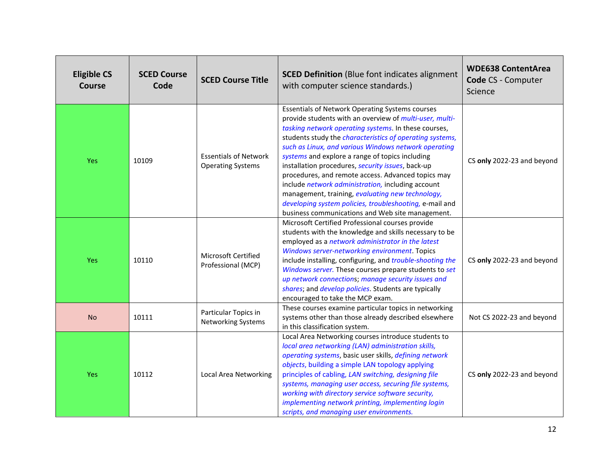| <b>Eligible CS</b><br><b>Course</b> | <b>SCED Course</b><br>Code | <b>SCED Course Title</b>                                 | <b>SCED Definition</b> (Blue font indicates alignment<br>with computer science standards.)                                                                                                                                                                                                                                                                                                                                                                                                                                                                                                                                                                                                  | <b>WDE638 ContentArea</b><br>Code CS - Computer<br>Science |
|-------------------------------------|----------------------------|----------------------------------------------------------|---------------------------------------------------------------------------------------------------------------------------------------------------------------------------------------------------------------------------------------------------------------------------------------------------------------------------------------------------------------------------------------------------------------------------------------------------------------------------------------------------------------------------------------------------------------------------------------------------------------------------------------------------------------------------------------------|------------------------------------------------------------|
| Yes                                 | 10109                      | <b>Essentials of Network</b><br><b>Operating Systems</b> | <b>Essentials of Network Operating Systems courses</b><br>provide students with an overview of multi-user, multi-<br>tasking network operating systems. In these courses,<br>students study the <i>characteristics of operating systems</i> ,<br>such as Linux, and various Windows network operating<br>systems and explore a range of topics including<br>installation procedures, security issues, back-up<br>procedures, and remote access. Advanced topics may<br>include network administration, including account<br>management, training, evaluating new technology,<br>developing system policies, troubleshooting, e-mail and<br>business communications and Web site management. | CS only 2022-23 and beyond                                 |
| Yes                                 | 10110                      | Microsoft Certified<br>Professional (MCP)                | Microsoft Certified Professional courses provide<br>students with the knowledge and skills necessary to be<br>employed as a network administrator in the latest<br>Windows server-networking environment. Topics<br>include installing, configuring, and trouble-shooting the<br>Windows server. These courses prepare students to set<br>up network connections; manage security issues and<br>shares; and develop policies. Students are typically<br>encouraged to take the MCP exam.                                                                                                                                                                                                    | CS only 2022-23 and beyond                                 |
| <b>No</b>                           | 10111                      | Particular Topics in<br>Networking Systems               | These courses examine particular topics in networking<br>systems other than those already described elsewhere<br>in this classification system.                                                                                                                                                                                                                                                                                                                                                                                                                                                                                                                                             | Not CS 2022-23 and beyond                                  |
| Yes                                 | 10112                      | Local Area Networking                                    | Local Area Networking courses introduce students to<br>local area networking (LAN) administration skills,<br>operating systems, basic user skills, defining network<br>objects, building a simple LAN topology applying<br>principles of cabling, LAN switching, designing file<br>systems, managing user access, securing file systems,<br>working with directory service software security,<br>implementing network printing, implementing login<br>scripts, and managing user environments.                                                                                                                                                                                              | CS only 2022-23 and beyond                                 |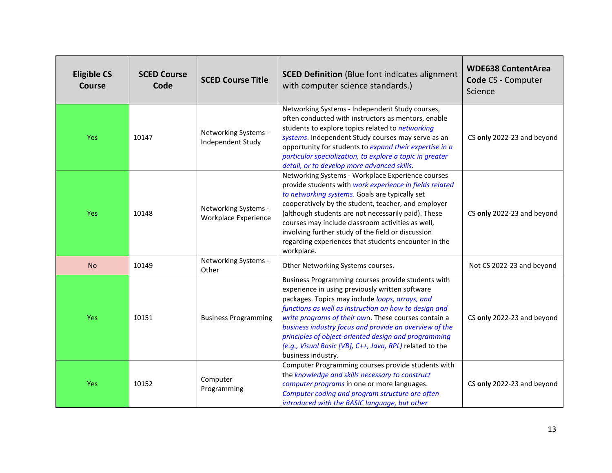| <b>Eligible CS</b><br><b>Course</b> | <b>SCED Course</b><br>Code | <b>SCED Course Title</b>                     | <b>SCED Definition</b> (Blue font indicates alignment<br>with computer science standards.)                                                                                                                                                                                                                                                                                                                                                                                    | <b>WDE638 ContentArea</b><br>Code CS - Computer<br>Science |
|-------------------------------------|----------------------------|----------------------------------------------|-------------------------------------------------------------------------------------------------------------------------------------------------------------------------------------------------------------------------------------------------------------------------------------------------------------------------------------------------------------------------------------------------------------------------------------------------------------------------------|------------------------------------------------------------|
| Yes                                 | 10147                      | Networking Systems -<br>Independent Study    | Networking Systems - Independent Study courses,<br>often conducted with instructors as mentors, enable<br>students to explore topics related to networking<br>systems. Independent Study courses may serve as an<br>opportunity for students to expand their expertise in a<br>particular specialization, to explore a topic in greater<br>detail, or to develop more advanced skills.                                                                                        | CS only 2022-23 and beyond                                 |
| Yes                                 | 10148                      | Networking Systems -<br>Workplace Experience | Networking Systems - Workplace Experience courses<br>provide students with work experience in fields related<br>to networking systems. Goals are typically set<br>cooperatively by the student, teacher, and employer<br>(although students are not necessarily paid). These<br>courses may include classroom activities as well,<br>involving further study of the field or discussion<br>regarding experiences that students encounter in the<br>workplace.                 | CS only 2022-23 and beyond                                 |
| <b>No</b>                           | 10149                      | Networking Systems -<br>Other                | Other Networking Systems courses.                                                                                                                                                                                                                                                                                                                                                                                                                                             | Not CS 2022-23 and beyond                                  |
| Yes                                 | 10151                      | <b>Business Programming</b>                  | Business Programming courses provide students with<br>experience in using previously written software<br>packages. Topics may include loops, arrays, and<br>functions as well as instruction on how to design and<br>write programs of their own. These courses contain a<br>business industry focus and provide an overview of the<br>principles of object-oriented design and programming<br>(e.g., Visual Basic [VB], C++, Java, RPL) related to the<br>business industry. | CS only 2022-23 and beyond                                 |
| Yes                                 | 10152                      | Computer<br>Programming                      | Computer Programming courses provide students with<br>the knowledge and skills necessary to construct<br>computer programs in one or more languages.<br>Computer coding and program structure are often<br>introduced with the BASIC language, but other                                                                                                                                                                                                                      | CS only 2022-23 and beyond                                 |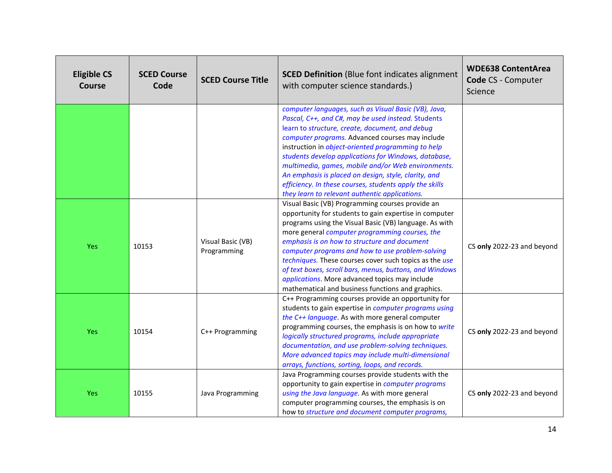| <b>Eligible CS</b><br><b>Course</b> | <b>SCED Course</b><br>Code | <b>SCED Course Title</b>         | <b>SCED Definition</b> (Blue font indicates alignment<br>with computer science standards.)                                                                                                                                                                                                                                                                                                                                                                                                                                                                | <b>WDE638 ContentArea</b><br>Code CS - Computer<br>Science |
|-------------------------------------|----------------------------|----------------------------------|-----------------------------------------------------------------------------------------------------------------------------------------------------------------------------------------------------------------------------------------------------------------------------------------------------------------------------------------------------------------------------------------------------------------------------------------------------------------------------------------------------------------------------------------------------------|------------------------------------------------------------|
|                                     |                            |                                  | computer languages, such as Visual Basic (VB), Java,<br>Pascal, C++, and C#, may be used instead. Students<br>learn to structure, create, document, and debug<br>computer programs. Advanced courses may include<br>instruction in object-oriented programming to help<br>students develop applications for Windows, database,<br>multimedia, games, mobile and/or Web environments.<br>An emphasis is placed on design, style, clarity, and<br>efficiency. In these courses, students apply the skills<br>they learn to relevant authentic applications. |                                                            |
| <b>Yes</b>                          | 10153                      | Visual Basic (VB)<br>Programming | Visual Basic (VB) Programming courses provide an<br>opportunity for students to gain expertise in computer<br>programs using the Visual Basic (VB) language. As with<br>more general computer programming courses, the<br>emphasis is on how to structure and document<br>computer programs and how to use problem-solving<br>techniques. These courses cover such topics as the use<br>of text boxes, scroll bars, menus, buttons, and Windows<br>applications. More advanced topics may include<br>mathematical and business functions and graphics.    | CS only 2022-23 and beyond                                 |
| Yes                                 | 10154                      | C++ Programming                  | C++ Programming courses provide an opportunity for<br>students to gain expertise in computer programs using<br>the C++ language. As with more general computer<br>programming courses, the emphasis is on how to write<br>logically structured programs, include appropriate<br>documentation, and use problem-solving techniques.<br>More advanced topics may include multi-dimensional<br>arrays, functions, sorting, loops, and records.                                                                                                               | CS only 2022-23 and beyond                                 |
| <b>Yes</b>                          | 10155                      | Java Programming                 | Java Programming courses provide students with the<br>opportunity to gain expertise in computer programs<br>using the Java language. As with more general<br>computer programming courses, the emphasis is on<br>how to structure and document computer programs,                                                                                                                                                                                                                                                                                         | CS only 2022-23 and beyond                                 |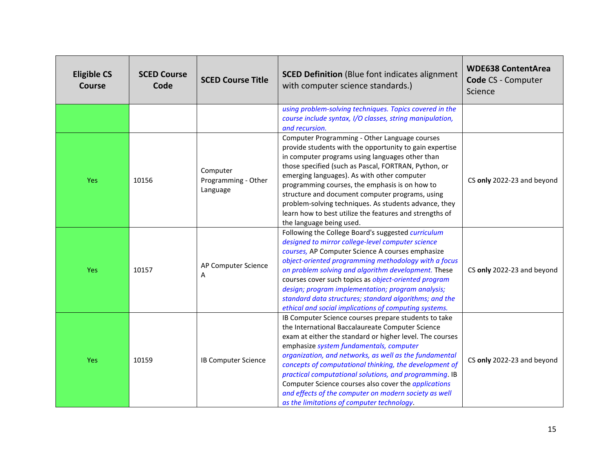| <b>Eligible CS</b><br>Course | <b>SCED Course</b><br>Code | <b>SCED Course Title</b>                    | <b>SCED Definition</b> (Blue font indicates alignment<br>with computer science standards.)                                                                                                                                                                                                                                                                                                                                                                                                                                                                          | <b>WDE638 ContentArea</b><br>Code CS - Computer<br>Science |
|------------------------------|----------------------------|---------------------------------------------|---------------------------------------------------------------------------------------------------------------------------------------------------------------------------------------------------------------------------------------------------------------------------------------------------------------------------------------------------------------------------------------------------------------------------------------------------------------------------------------------------------------------------------------------------------------------|------------------------------------------------------------|
|                              |                            |                                             | using problem-solving techniques. Topics covered in the<br>course include syntax, I/O classes, string manipulation,<br>and recursion.                                                                                                                                                                                                                                                                                                                                                                                                                               |                                                            |
| Yes                          | 10156                      | Computer<br>Programming - Other<br>Language | Computer Programming - Other Language courses<br>provide students with the opportunity to gain expertise<br>in computer programs using languages other than<br>those specified (such as Pascal, FORTRAN, Python, or<br>emerging languages). As with other computer<br>programming courses, the emphasis is on how to<br>structure and document computer programs, using<br>problem-solving techniques. As students advance, they<br>learn how to best utilize the features and strengths of<br>the language being used.                                             | CS only 2022-23 and beyond                                 |
| Yes                          | 10157                      | AP Computer Science<br>A                    | Following the College Board's suggested curriculum<br>designed to mirror college-level computer science<br>courses, AP Computer Science A courses emphasize<br>object-oriented programming methodology with a focus<br>on problem solving and algorithm development. These<br>courses cover such topics as object-oriented program<br>design; program implementation; program analysis;<br>standard data structures; standard algorithms; and the<br>ethical and social implications of computing systems.                                                          | CS only 2022-23 and beyond                                 |
| <b>Yes</b>                   | 10159                      | <b>IB Computer Science</b>                  | IB Computer Science courses prepare students to take<br>the International Baccalaureate Computer Science<br>exam at either the standard or higher level. The courses<br>emphasize system fundamentals, computer<br>organization, and networks, as well as the fundamental<br>concepts of computational thinking, the development of<br>practical computational solutions, and programming. IB<br>Computer Science courses also cover the <i>applications</i><br>and effects of the computer on modern society as well<br>as the limitations of computer technology. | CS only 2022-23 and beyond                                 |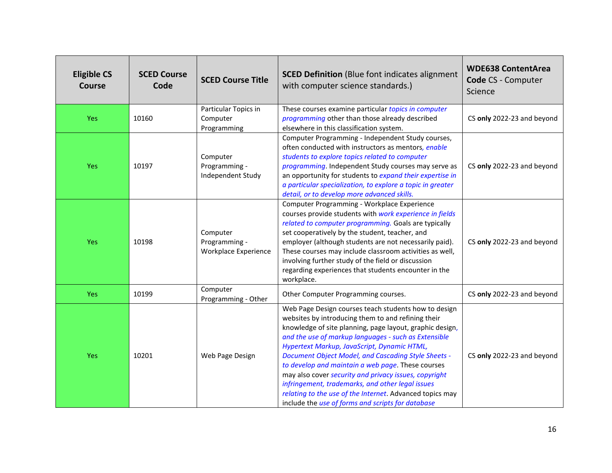| <b>Eligible CS</b><br>Course | <b>SCED Course</b><br>Code | <b>SCED Course Title</b>                                 | <b>SCED Definition</b> (Blue font indicates alignment<br>with computer science standards.)                                                                                                                                                                                                                                                                                                                                                                                                                                                                                                                              | <b>WDE638 ContentArea</b><br><b>Code CS - Computer</b><br>Science |
|------------------------------|----------------------------|----------------------------------------------------------|-------------------------------------------------------------------------------------------------------------------------------------------------------------------------------------------------------------------------------------------------------------------------------------------------------------------------------------------------------------------------------------------------------------------------------------------------------------------------------------------------------------------------------------------------------------------------------------------------------------------------|-------------------------------------------------------------------|
| Yes                          | 10160                      | Particular Topics in<br>Computer<br>Programming          | These courses examine particular topics in computer<br>programming other than those already described<br>elsewhere in this classification system.                                                                                                                                                                                                                                                                                                                                                                                                                                                                       | CS only 2022-23 and beyond                                        |
| <b>Yes</b>                   | 10197                      | Computer<br>Programming -<br>Independent Study           | Computer Programming - Independent Study courses,<br>often conducted with instructors as mentors, enable<br>students to explore topics related to computer<br>programming. Independent Study courses may serve as<br>an opportunity for students to expand their expertise in<br>a particular specialization, to explore a topic in greater<br>detail, or to develop more advanced skills.                                                                                                                                                                                                                              | CS only 2022-23 and beyond                                        |
| <b>Yes</b>                   | 10198                      | Computer<br>Programming -<br><b>Workplace Experience</b> | Computer Programming - Workplace Experience<br>courses provide students with work experience in fields<br>related to computer programming. Goals are typically<br>set cooperatively by the student, teacher, and<br>employer (although students are not necessarily paid).<br>These courses may include classroom activities as well,<br>involving further study of the field or discussion<br>regarding experiences that students encounter in the<br>workplace.                                                                                                                                                       | CS only 2022-23 and beyond                                        |
| <b>Yes</b>                   | 10199                      | Computer<br>Programming - Other                          | Other Computer Programming courses.                                                                                                                                                                                                                                                                                                                                                                                                                                                                                                                                                                                     | CS only 2022-23 and beyond                                        |
| Yes                          | 10201                      | Web Page Design                                          | Web Page Design courses teach students how to design<br>websites by introducing them to and refining their<br>knowledge of site planning, page layout, graphic design,<br>and the use of markup languages - such as Extensible<br>Hypertext Markup, JavaScript, Dynamic HTML,<br>Document Object Model, and Cascading Style Sheets -<br>to develop and maintain a web page. These courses<br>may also cover security and privacy issues, copyright<br>infringement, trademarks, and other legal issues<br>relating to the use of the Internet. Advanced topics may<br>include the use of forms and scripts for database | CS only 2022-23 and beyond                                        |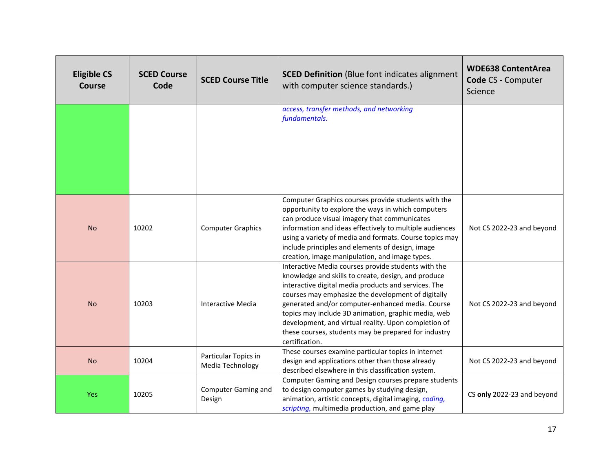| <b>Eligible CS</b><br><b>Course</b> | <b>SCED Course</b><br>Code | <b>SCED Course Title</b>                 | <b>SCED Definition</b> (Blue font indicates alignment<br>with computer science standards.)                                                                                                                                                                                                                                                                                                                                                                            | <b>WDE638 ContentArea</b><br><b>Code CS - Computer</b><br>Science |
|-------------------------------------|----------------------------|------------------------------------------|-----------------------------------------------------------------------------------------------------------------------------------------------------------------------------------------------------------------------------------------------------------------------------------------------------------------------------------------------------------------------------------------------------------------------------------------------------------------------|-------------------------------------------------------------------|
|                                     |                            |                                          | access, transfer methods, and networking<br>fundamentals.                                                                                                                                                                                                                                                                                                                                                                                                             |                                                                   |
| <b>No</b>                           | 10202                      | <b>Computer Graphics</b>                 | Computer Graphics courses provide students with the<br>opportunity to explore the ways in which computers<br>can produce visual imagery that communicates<br>information and ideas effectively to multiple audiences<br>using a variety of media and formats. Course topics may<br>include principles and elements of design, image<br>creation, image manipulation, and image types.                                                                                 | Not CS 2022-23 and beyond                                         |
| <b>No</b>                           | 10203                      | Interactive Media                        | Interactive Media courses provide students with the<br>knowledge and skills to create, design, and produce<br>interactive digital media products and services. The<br>courses may emphasize the development of digitally<br>generated and/or computer-enhanced media. Course<br>topics may include 3D animation, graphic media, web<br>development, and virtual reality. Upon completion of<br>these courses, students may be prepared for industry<br>certification. | Not CS 2022-23 and beyond                                         |
| <b>No</b>                           | 10204                      | Particular Topics in<br>Media Technology | These courses examine particular topics in internet<br>design and applications other than those already<br>described elsewhere in this classification system.                                                                                                                                                                                                                                                                                                         | Not CS 2022-23 and beyond                                         |
| Yes                                 | 10205                      | <b>Computer Gaming and</b><br>Design     | Computer Gaming and Design courses prepare students<br>to design computer games by studying design,<br>animation, artistic concepts, digital imaging, coding,<br>scripting, multimedia production, and game play                                                                                                                                                                                                                                                      | CS only 2022-23 and beyond                                        |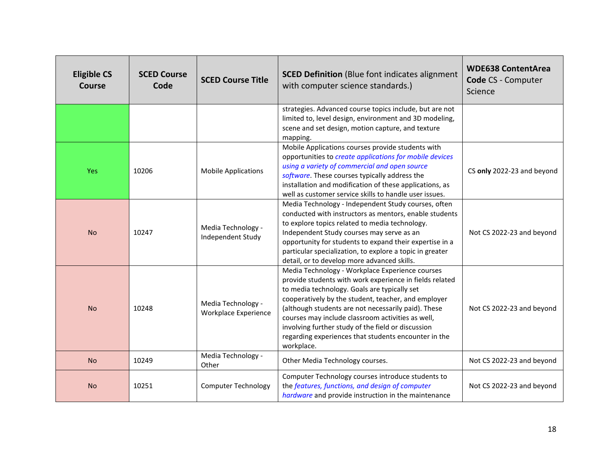| <b>Eligible CS</b><br><b>Course</b> | <b>SCED Course</b><br>Code | <b>SCED Course Title</b>                   | <b>SCED Definition</b> (Blue font indicates alignment<br>with computer science standards.)                                                                                                                                                                                                                                                                                                                                                                | <b>WDE638 ContentArea</b><br>Code CS - Computer<br>Science |
|-------------------------------------|----------------------------|--------------------------------------------|-----------------------------------------------------------------------------------------------------------------------------------------------------------------------------------------------------------------------------------------------------------------------------------------------------------------------------------------------------------------------------------------------------------------------------------------------------------|------------------------------------------------------------|
|                                     |                            |                                            | strategies. Advanced course topics include, but are not<br>limited to, level design, environment and 3D modeling,<br>scene and set design, motion capture, and texture<br>mapping.                                                                                                                                                                                                                                                                        |                                                            |
| <b>Yes</b>                          | 10206                      | <b>Mobile Applications</b>                 | Mobile Applications courses provide students with<br>opportunities to create applications for mobile devices<br>using a variety of commercial and open source<br>software. These courses typically address the<br>installation and modification of these applications, as<br>well as customer service skills to handle user issues.                                                                                                                       | CS only 2022-23 and beyond                                 |
| <b>No</b>                           | 10247                      | Media Technology -<br>Independent Study    | Media Technology - Independent Study courses, often<br>conducted with instructors as mentors, enable students<br>to explore topics related to media technology.<br>Independent Study courses may serve as an<br>opportunity for students to expand their expertise in a<br>particular specialization, to explore a topic in greater<br>detail, or to develop more advanced skills.                                                                        | Not CS 2022-23 and beyond                                  |
| <b>No</b>                           | 10248                      | Media Technology -<br>Workplace Experience | Media Technology - Workplace Experience courses<br>provide students with work experience in fields related<br>to media technology. Goals are typically set<br>cooperatively by the student, teacher, and employer<br>(although students are not necessarily paid). These<br>courses may include classroom activities as well,<br>involving further study of the field or discussion<br>regarding experiences that students encounter in the<br>workplace. | Not CS 2022-23 and beyond                                  |
| <b>No</b>                           | 10249                      | Media Technology -<br>Other                | Other Media Technology courses.                                                                                                                                                                                                                                                                                                                                                                                                                           | Not CS 2022-23 and beyond                                  |
| <b>No</b>                           | 10251                      | <b>Computer Technology</b>                 | Computer Technology courses introduce students to<br>the features, functions, and design of computer<br>hardware and provide instruction in the maintenance                                                                                                                                                                                                                                                                                               | Not CS 2022-23 and beyond                                  |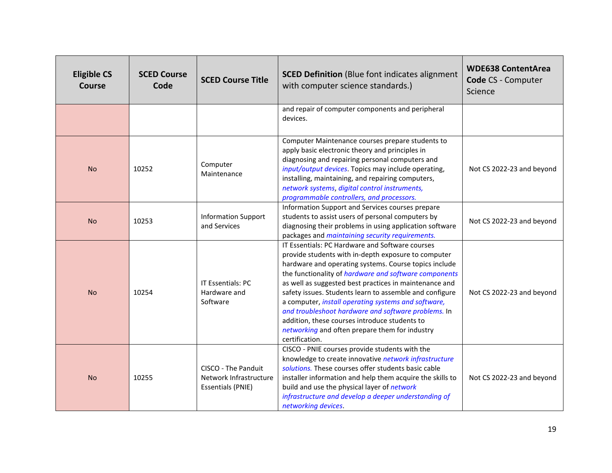| <b>Eligible CS</b><br><b>Course</b> | <b>SCED Course</b><br>Code | <b>SCED Course Title</b>                                                  | <b>SCED Definition</b> (Blue font indicates alignment<br>with computer science standards.)                                                                                                                                                                                                                                                                                                                                                                                                                                                                                       | <b>WDE638 ContentArea</b><br>Code CS - Computer<br>Science |
|-------------------------------------|----------------------------|---------------------------------------------------------------------------|----------------------------------------------------------------------------------------------------------------------------------------------------------------------------------------------------------------------------------------------------------------------------------------------------------------------------------------------------------------------------------------------------------------------------------------------------------------------------------------------------------------------------------------------------------------------------------|------------------------------------------------------------|
|                                     |                            |                                                                           | and repair of computer components and peripheral<br>devices.                                                                                                                                                                                                                                                                                                                                                                                                                                                                                                                     |                                                            |
| <b>No</b>                           | 10252                      | Computer<br>Maintenance                                                   | Computer Maintenance courses prepare students to<br>apply basic electronic theory and principles in<br>diagnosing and repairing personal computers and<br>input/output devices. Topics may include operating,<br>installing, maintaining, and repairing computers,<br>network systems, digital control instruments,<br>programmable controllers, and processors.                                                                                                                                                                                                                 | Not CS 2022-23 and beyond                                  |
| <b>No</b>                           | 10253                      | <b>Information Support</b><br>and Services                                | Information Support and Services courses prepare<br>students to assist users of personal computers by<br>diagnosing their problems in using application software<br>packages and maintaining security requirements.                                                                                                                                                                                                                                                                                                                                                              | Not CS 2022-23 and beyond                                  |
| <b>No</b>                           | 10254                      | IT Essentials: PC<br>Hardware and<br>Software                             | IT Essentials: PC Hardware and Software courses<br>provide students with in-depth exposure to computer<br>hardware and operating systems. Course topics include<br>the functionality of hardware and software components<br>as well as suggested best practices in maintenance and<br>safety issues. Students learn to assemble and configure<br>a computer, install operating systems and software,<br>and troubleshoot hardware and software problems. In<br>addition, these courses introduce students to<br>networking and often prepare them for industry<br>certification. | Not CS 2022-23 and beyond                                  |
| <b>No</b>                           | 10255                      | CISCO - The Panduit<br>Network Infrastructure<br><b>Essentials (PNIE)</b> | CISCO - PNIE courses provide students with the<br>knowledge to create innovative network infrastructure<br>solutions. These courses offer students basic cable<br>installer information and help them acquire the skills to<br>build and use the physical layer of network<br>infrastructure and develop a deeper understanding of<br>networking devices.                                                                                                                                                                                                                        | Not CS 2022-23 and beyond                                  |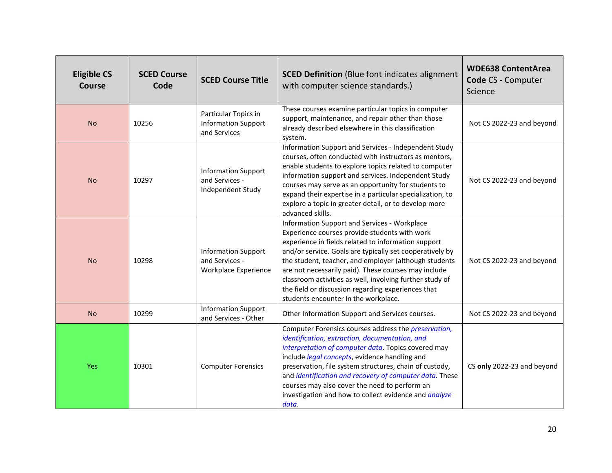| <b>Eligible CS</b><br><b>Course</b> | <b>SCED Course</b><br>Code | <b>SCED Course Title</b>                                             | <b>SCED Definition</b> (Blue font indicates alignment<br>with computer science standards.)                                                                                                                                                                                                                                                                                                                                                                                                  | <b>WDE638 ContentArea</b><br>Code CS - Computer<br>Science |
|-------------------------------------|----------------------------|----------------------------------------------------------------------|---------------------------------------------------------------------------------------------------------------------------------------------------------------------------------------------------------------------------------------------------------------------------------------------------------------------------------------------------------------------------------------------------------------------------------------------------------------------------------------------|------------------------------------------------------------|
| <b>No</b>                           | 10256                      | Particular Topics in<br><b>Information Support</b><br>and Services   | These courses examine particular topics in computer<br>support, maintenance, and repair other than those<br>already described elsewhere in this classification<br>system.                                                                                                                                                                                                                                                                                                                   | Not CS 2022-23 and beyond                                  |
| <b>No</b>                           | 10297                      | <b>Information Support</b><br>and Services -<br>Independent Study    | Information Support and Services - Independent Study<br>courses, often conducted with instructors as mentors,<br>enable students to explore topics related to computer<br>information support and services. Independent Study<br>courses may serve as an opportunity for students to<br>expand their expertise in a particular specialization, to<br>explore a topic in greater detail, or to develop more<br>advanced skills.                                                              | Not CS 2022-23 and beyond                                  |
| <b>No</b>                           | 10298                      | <b>Information Support</b><br>and Services -<br>Workplace Experience | Information Support and Services - Workplace<br>Experience courses provide students with work<br>experience in fields related to information support<br>and/or service. Goals are typically set cooperatively by<br>the student, teacher, and employer (although students<br>are not necessarily paid). These courses may include<br>classroom activities as well, involving further study of<br>the field or discussion regarding experiences that<br>students encounter in the workplace. | Not CS 2022-23 and beyond                                  |
| <b>No</b>                           | 10299                      | <b>Information Support</b><br>and Services - Other                   | Other Information Support and Services courses.                                                                                                                                                                                                                                                                                                                                                                                                                                             | Not CS 2022-23 and beyond                                  |
| <b>Yes</b>                          | 10301                      | <b>Computer Forensics</b>                                            | Computer Forensics courses address the <i>preservation</i> ,<br>identification, extraction, documentation, and<br>interpretation of computer data. Topics covered may<br>include legal concepts, evidence handling and<br>preservation, file system structures, chain of custody,<br>and identification and recovery of computer data. These<br>courses may also cover the need to perform an<br>investigation and how to collect evidence and analyze<br>data.                             | CS only 2022-23 and beyond                                 |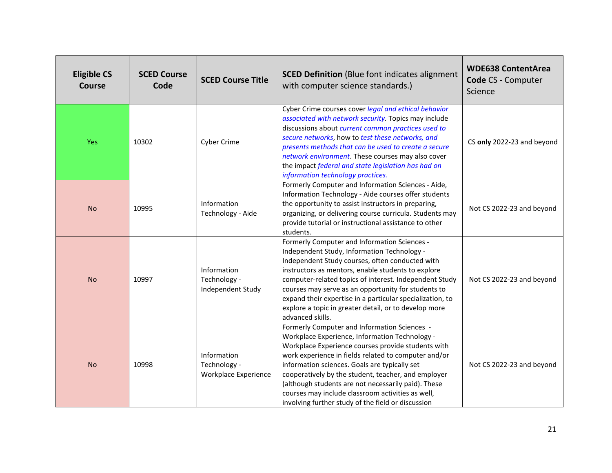| <b>Eligible CS</b><br>Course | <b>SCED Course</b><br>Code | <b>SCED Course Title</b>                            | <b>SCED Definition</b> (Blue font indicates alignment<br>with computer science standards.)                                                                                                                                                                                                                                                                                                                                                                                             | <b>WDE638 ContentArea</b><br>Code CS - Computer<br>Science |
|------------------------------|----------------------------|-----------------------------------------------------|----------------------------------------------------------------------------------------------------------------------------------------------------------------------------------------------------------------------------------------------------------------------------------------------------------------------------------------------------------------------------------------------------------------------------------------------------------------------------------------|------------------------------------------------------------|
| Yes                          | 10302                      | Cyber Crime                                         | Cyber Crime courses cover legal and ethical behavior<br>associated with network security. Topics may include<br>discussions about current common practices used to<br>secure networks, how to test these networks, and<br>presents methods that can be used to create a secure<br>network environment. These courses may also cover<br>the impact federal and state legislation has had on<br>information technology practices.                                                        | CS only 2022-23 and beyond                                 |
| <b>No</b>                    | 10995                      | Information<br>Technology - Aide                    | Formerly Computer and Information Sciences - Aide,<br>Information Technology - Aide courses offer students<br>the opportunity to assist instructors in preparing,<br>organizing, or delivering course curricula. Students may<br>provide tutorial or instructional assistance to other<br>students.                                                                                                                                                                                    | Not CS 2022-23 and beyond                                  |
| <b>No</b>                    | 10997                      | Information<br>Technology -<br>Independent Study    | Formerly Computer and Information Sciences -<br>Independent Study, Information Technology -<br>Independent Study courses, often conducted with<br>instructors as mentors, enable students to explore<br>computer-related topics of interest. Independent Study<br>courses may serve as an opportunity for students to<br>expand their expertise in a particular specialization, to<br>explore a topic in greater detail, or to develop more<br>advanced skills.                        | Not CS 2022-23 and beyond                                  |
| <b>No</b>                    | 10998                      | Information<br>Technology -<br>Workplace Experience | Formerly Computer and Information Sciences -<br>Workplace Experience, Information Technology -<br>Workplace Experience courses provide students with<br>work experience in fields related to computer and/or<br>information sciences. Goals are typically set<br>cooperatively by the student, teacher, and employer<br>(although students are not necessarily paid). These<br>courses may include classroom activities as well,<br>involving further study of the field or discussion | Not CS 2022-23 and beyond                                  |